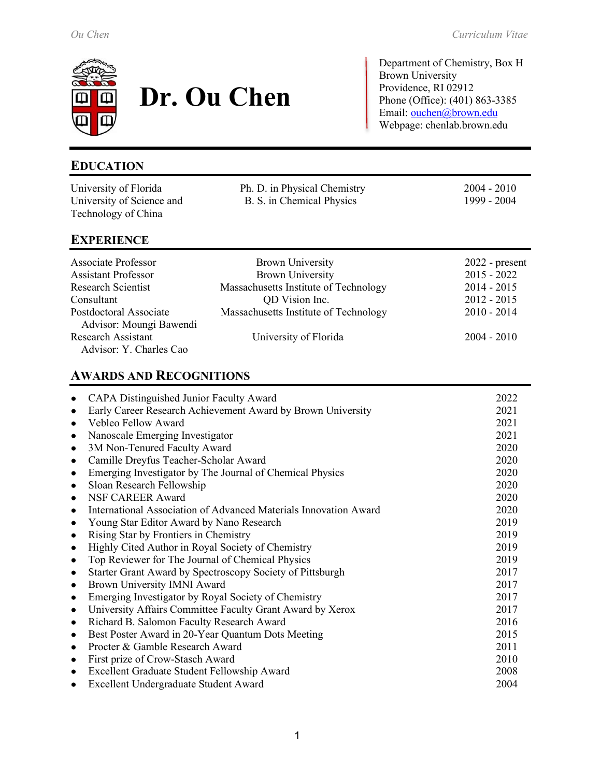

# **Dr. Ou Chen**

Department of Chemistry, Box H Brown University Providence, RI 02912 Phone (Office): (401) 863-3385 Email: [ouchen@brown.edu](mailto:ouchen@brown.edu) Webpage: chenlab.brown.edu

# **EDUCATION**

| University of Florida                                | Ph. D. in Physical Chemistry          | $2004 - 2010$    |
|------------------------------------------------------|---------------------------------------|------------------|
| University of Science and                            | B. S. in Chemical Physics             | 1999 - 2004      |
| Technology of China                                  |                                       |                  |
| <b>EXPERIENCE</b>                                    |                                       |                  |
| <b>Associate Professor</b>                           | <b>Brown University</b>               | $2022$ - present |
| <b>Assistant Professor</b>                           | <b>Brown University</b>               | $2015 - 2022$    |
| <b>Research Scientist</b>                            | Massachusetts Institute of Technology | $2014 - 2015$    |
| Consultant                                           | QD Vision Inc.                        | $2012 - 2015$    |
| Postdoctoral Associate<br>Advisor: Moungi Bawendi    | Massachusetts Institute of Technology | $2010 - 2014$    |
| <b>Research Assistant</b><br>Advisor: Y. Charles Cao | University of Florida                 | $2004 - 2010$    |
|                                                      |                                       |                  |

## **AWARDS AND RECOGNITIONS**

| CAPA Distinguished Junior Faculty Award                                       | 2022 |
|-------------------------------------------------------------------------------|------|
| Early Career Research Achievement Award by Brown University<br>$\bullet$      | 2021 |
| Vebleo Fellow Award<br>$\bullet$                                              | 2021 |
| Nanoscale Emerging Investigator<br>$\bullet$                                  | 2021 |
| 3M Non-Tenured Faculty Award<br>$\bullet$                                     | 2020 |
| Camille Dreyfus Teacher-Scholar Award<br>$\bullet$                            | 2020 |
| Emerging Investigator by The Journal of Chemical Physics<br>$\bullet$         | 2020 |
| Sloan Research Fellowship<br>$\bullet$                                        | 2020 |
| <b>NSF CAREER Award</b><br>$\bullet$                                          | 2020 |
| International Association of Advanced Materials Innovation Award<br>$\bullet$ | 2020 |
| Young Star Editor Award by Nano Research<br>$\bullet$                         | 2019 |
| Rising Star by Frontiers in Chemistry<br>$\bullet$                            | 2019 |
| Highly Cited Author in Royal Society of Chemistry<br>$\bullet$                | 2019 |
| Top Reviewer for The Journal of Chemical Physics<br>$\bullet$                 | 2019 |
| Starter Grant Award by Spectroscopy Society of Pittsburgh<br>$\bullet$        | 2017 |
| Brown University IMNI Award<br>$\bullet$                                      | 2017 |
| Emerging Investigator by Royal Society of Chemistry                           | 2017 |
| University Affairs Committee Faculty Grant Award by Xerox                     | 2017 |
| Richard B. Salomon Faculty Research Award<br>$\bullet$                        | 2016 |
| Best Poster Award in 20-Year Quantum Dots Meeting<br>$\bullet$                | 2015 |
| Procter & Gamble Research Award<br>$\bullet$                                  | 2011 |
| First prize of Crow-Stasch Award<br>$\bullet$                                 | 2010 |
| Excellent Graduate Student Fellowship Award<br>$\bullet$                      | 2008 |
| Excellent Undergraduate Student Award                                         | 2004 |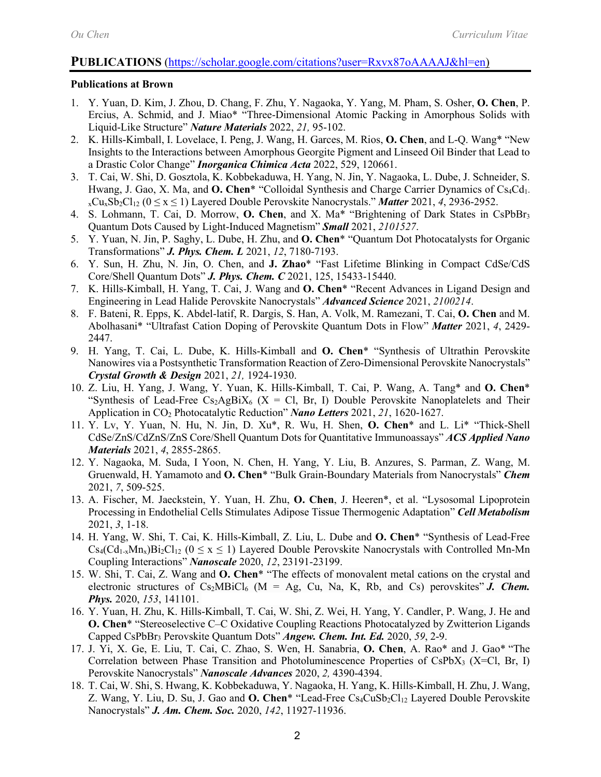#### **PUBLICATIONS** [\(https://scholar.google.com/citations?user=Rxvx87oAAAAJ&hl=en\)](https://scholar.google.com/citations?user=Rxvx87oAAAAJ&hl=en)

#### **Publications at Brown**

- 1. Y. Yuan, D. Kim, J. Zhou, D. Chang, F. Zhu, Y. Nagaoka, Y. Yang, M. Pham, S. Osher, **O. Chen**, P. Ercius, A. Schmid, and J. Miao\* "Three-Dimensional Atomic Packing in Amorphous Solids with Liquid-Like Structure" *Nature Materials* 2022, *21,* 95-102.
- 2. K. Hills-Kimball, I. Lovelace, I. Peng, J. Wang, H. Garces, M. Rios, **O. Chen**, and L-Q. Wang\* "New Insights to the Interactions between Amorphous Georgite Pigment and Linseed Oil Binder that Lead to a Drastic Color Change" *Inorganica Chimica Acta* 2022, 529, 120661.
- 3. T. Cai, W. Shi, D. Gosztola, K. Kobbekaduwa, H. Yang, N. Jin, Y. Nagaoka, L. Dube, J. Schneider, S. Hwang, J. Gao, X. Ma, and **O. Chen**\* "Colloidal Synthesis and Charge Carrier Dynamics of Cs<sub>4</sub>Cd<sub>1</sub>.  $_{x}Cu_{x}Sb_{2}Cl_{12}$  ( $0 \le x \le 1$ ) Layered Double Perovskite Nanocrystals." *Matter* 2021, 4, 2936-2952.
- 4. S. Lohmann, T. Cai, D. Morrow, **O. Chen**, and X. Ma\* "Brightening of Dark States in CsPbBr3 Quantum Dots Caused by Light-Induced Magnetism" *Small* 2021, *2101527*.
- 5. Y. Yuan, N. Jin, P. Saghy, L. Dube, H. Zhu, and **O. Chen**\* "Quantum Dot Photocatalysts for Organic Transformations" *J. Phys. Chem. L* 2021, *12*, 7180-7193.
- 6. Y. Sun, H. Zhu, N. Jin, O. Chen, and **J. Zhao**\* "Fast Lifetime Blinking in Compact CdSe/CdS Core/Shell Quantum Dots" *J. Phys. Chem. C* 2021, 125, 15433-15440.
- 7. K. Hills-Kimball, H. Yang, T. Cai, J. Wang and **O. Chen**\* "Recent Advances in Ligand Design and Engineering in Lead Halide Perovskite Nanocrystals" *Advanced Science* 2021, *2100214*.
- 8. F. Bateni, R. Epps, K. Abdel-latif, R. Dargis, S. Han, A. Volk, M. Ramezani, T. Cai, **O. Chen** and M. Abolhasani\* "Ultrafast Cation Doping of Perovskite Quantum Dots in Flow" *Matter* 2021, *4*, 2429- 2447.
- 9. H. Yang, T. Cai, L. Dube, K. Hills-Kimball and **O. Chen**\* "Synthesis of Ultrathin Perovskite Nanowires via a Postsynthetic Transformation Reaction of Zero-Dimensional Perovskite Nanocrystals" *Crystal Growth & Design* 2021, *21,* 1924-1930.
- 10. Z. Liu, H. Yang, J. Wang, Y. Yuan, K. Hills-Kimball, T. Cai, P. Wang, A. Tang\* and **O. Chen**\* "Synthesis of Lead-Free  $Cs_2AgBiX_6$  (X = Cl, Br, I) Double Perovskite Nanoplatelets and Their Application in CO2 Photocatalytic Reduction" *Nano Letters* 2021, *21*, 1620-1627.
- 11. Y. Lv, Y. Yuan, N. Hu, N. Jin, D. Xu\*, R. Wu, H. Shen, **O. Chen**\* and L. Li\* "Thick-Shell CdSe/ZnS/CdZnS/ZnS Core/Shell Quantum Dots for Quantitative Immunoassays" *ACS Applied Nano Materials* 2021, *4*, 2855-2865.
- 12. Y. Nagaoka, M. Suda, I Yoon, N. Chen, H. Yang, Y. Liu, B. Anzures, S. Parman, Z. Wang, M. Gruenwald, H. Yamamoto and **O. Chen**\* "Bulk Grain-Boundary Materials from Nanocrystals" *Chem* 2021, *7*, 509-525.
- 13. A. Fischer, M. Jaeckstein, Y. Yuan, H. Zhu, **O. Chen**, J. Heeren\*, et al. "Lysosomal Lipoprotein Processing in Endothelial Cells Stimulates Adipose Tissue Thermogenic Adaptation" *Cell Metabolism* 2021, *3*, 1-18.
- 14. H. Yang, W. Shi, T. Cai, K. Hills-Kimball, Z. Liu, L. Dube and **O. Chen**\* "Synthesis of Lead-Free  $Cs_4(Cd_{1-x}Mn_x)Bi_2Cl_{12}$  ( $0 \le x \le 1$ ) Layered Double Perovskite Nanocrystals with Controlled Mn-Mn Coupling Interactions" *Nanoscale* 2020, *12*, 23191-23199.
- 15. W. Shi, T. Cai, Z. Wang and **O. Chen**\* ["The effects of monovalent metal cations on the crystal and](https://aip.scitation.org/doi/10.1063/5.0021238)  electronic structures of  $Cs<sub>2</sub>MBiCl<sub>6</sub>$  [\(M = Ag, Cu, Na, K, Rb, and Cs\) perovskites"](https://aip.scitation.org/doi/10.1063/5.0021238) *J. Chem. Phys.* 2020, *153*, 141101.
- 16. Y. Yuan, H. Zhu, K. Hills-Kimball, T. Cai, W. Shi, Z. Wei, H. Yang, Y. Candler, P. Wang, J. He and **O. Chen**\* ["Stereoselective C–C Oxidative Coupling Reactions Photocatalyzed by Zwitterion Ligands](https://onlinelibrary.wiley.com/doi/10.1002/anie.202007520)  [Capped CsPbBr3](https://onlinelibrary.wiley.com/doi/10.1002/anie.202007520) [Perovskite Quantum Dots"](https://onlinelibrary.wiley.com/doi/10.1002/anie.202007520) *Angew. Chem. Int. Ed.* 2020, *59*, 2-9.
- 17. J. Yi, X. Ge, E. Liu, T. Cai, C. Zhao, S. Wen, H. Sanabria, **O. Chen**, A. Rao\* and J. Gao\* ["The](https://pubs.rsc.org/en/content/articlelanding/2020/na/d0na00545b#!divAbstract)  Correlation between Phase Transition and Photoluminescence Properties of CsPbX<sub>3</sub> (X=Cl, Br, I) [Perovskite Nanocrystals"](https://pubs.rsc.org/en/content/articlelanding/2020/na/d0na00545b#!divAbstract) *Nanoscale Advances* 2020, *2,* 4390-4394.
- 18. T. Cai, W. Shi, S. Hwang, K. Kobbekaduwa, Y. Nagaoka, H. Yang, K. Hills-Kimball, H. Zhu, J. Wang, Z. Wang, Y. Liu, D. Su, J. Gao and **O. Chen**\* "Lead-Free Cs<sub>4</sub>CuSb<sub>2</sub>Cl<sub>12</sub> Layered Double Perovskite [Nanocrystals"](https://pubs.acs.org/doi/abs/10.1021/jacs.0c04919) *J. Am. Chem. Soc.* 2020, *142*, 11927-11936.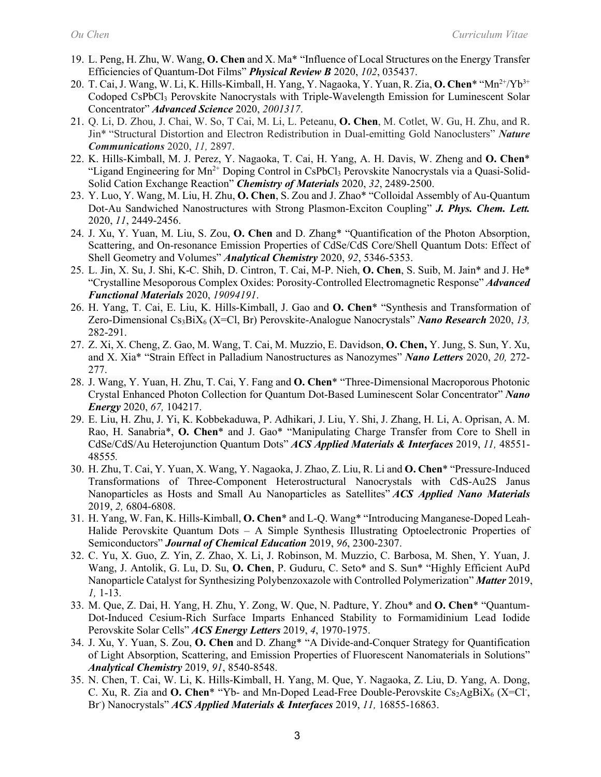- 19. L. Peng, H. Zhu, W. Wang, **O. Chen** and X. Ma\* ["Influence of Local Structures on the Energy Transfer](https://journals.aps.org/prb/accepted/13074OfcD4017b37092b0408081cf2dfd066aed80)  [Efficiencies of Quantum-Dot Films"](https://journals.aps.org/prb/accepted/13074OfcD4017b37092b0408081cf2dfd066aed80) *Physical Review B* 2020, *102*, 035437.
- 20. T. Cai, J. Wang, W. Li, K. Hills-Kimball, H. Yang, Y. Nagaoka, Y. Yuan, R. Zia, **O. Chen**\* "Mn2+/Yb3+ Codoped CsPbCl<sub>3</sub> Perovskite Nanocrystals with Triple-Wavelength Emission for Luminescent Solar Concentrator" *Advanced Science* 2020, *2001317*.
- 21. Q. Li, D. Zhou, J. Chai, W. So, T Cai, M. Li, L. Peteanu, **O. Chen**, M. Cotlet, W. Gu, H. Zhu, and R. Jin\* "Structural Distortion and Electron Redistribution in Dual-emitting Gold Nanoclusters" *Nature Communications* 2020, *11,* 2897.
- 22. K. Hills-Kimball, M. J. Perez, Y. Nagaoka, T. Cai, H. Yang, A. H. Davis, W. Zheng and **O. Chen**\* "Ligand Engineering for Mn<sup>2+</sup> Doping Control in CsPbCl<sub>3</sub> Perovskite Nanocrystals via a Quasi-Solid-Solid Cation Exchange Reaction" *Chemistry of Materials* 2020, *32*, 2489-2500.
- 23. Y. Luo, Y. Wang, M. Liu, H. Zhu, **O. Chen**, S. Zou and J. Zhao\* "Colloidal Assembly of Au-Quantum Dot-Au Sandwiched Nanostructures with Strong Plasmon-Exciton Coupling" *J. Phys. Chem. Lett.* 2020, *11*, 2449-2456.
- 24. J. Xu, Y. Yuan, M. Liu, S. Zou, **O. Chen** and D. Zhang\* "Quantification of the Photon Absorption, Scattering, and On-resonance Emission Properties of CdSe/CdS Core/Shell Quantum Dots: Effect of Shell Geometry and Volumes" *Analytical Chemistry* 2020, *92*, 5346-5353.
- 25. L. Jin, X. Su, J. Shi, K-C. Shih, D. Cintron, T. Cai, M-P. Nieh, **O. Chen**, S. Suib, M. Jain\* and J. He\* "Crystalline Mesoporous Complex Oxides: Porosity-Controlled Electromagnetic Response" *Advanced Functional Materials* 2020, *19094191*.
- 26. H. Yang, T. Cai, E. Liu, K. Hills-Kimball, J. Gao and **O. Chen**\* "Synthesis and Transformation of Zero-Dimensional Cs3BiX6 (X=Cl, Br) Perovskite-Analogue Nanocrystals" *Nano Research* 2020, *13,*  282-291.
- 27. Z. Xi, X. Cheng, Z. Gao, M. Wang, T. Cai, M. Muzzio, E. Davidson, **O. Chen,** Y. Jung, S. Sun, Y. Xu, and X. Xia\* "Strain Effect in Palladium Nanostructures as Nanozymes" *Nano Letters* 2020, *20,* 272- 277.
- 28. J. Wang, Y. Yuan, H. Zhu, T. Cai, Y. Fang and **O. Chen**\* ["Three-Dimensional Macroporous Photonic](https://www.sciencedirect.com/science/article/pii/S2211285519309243?via%3Dihub#mmc1)  [Crystal Enhanced Photon Collection for Quantum Dot-Based Luminescent Solar Concentrator"](https://www.sciencedirect.com/science/article/pii/S2211285519309243?via%3Dihub#mmc1) *Nano Energy* 2020, *67,* 104217.
- 29. E. Liu, H. Zhu, J. Yi, K. Kobbekaduwa, P. Adhikari, J. Liu, Y. Shi, J. Zhang, H. Li, A. Oprisan, A. M. Rao, H. Sanabria\*, **O. Chen**\* and J. Gao\* ["Manipulating Charge Transfer from Core to Shell in](https://pubs.acs.org/doi/pdf/10.1021/acsami.9b17339)  [CdSe/CdS/Au Heterojunction Quantum Dots"](https://pubs.acs.org/doi/pdf/10.1021/acsami.9b17339) *ACS Applied Materials & Interfaces* 2019, *11,* 48551- 48555*.*
- 30. H. Zhu, T. Cai, Y. Yuan, X. Wang, Y. Nagaoka, J. Zhao, Z. Liu, R. Li and **O. Chen**\* ["Pressure-Induced](https://pubs.acs.org/doi/10.1021/acsanm.9b01860)  [Transformations of Three-Component Heterostructural Nanocrystals with CdS-Au2S Janus](https://pubs.acs.org/doi/10.1021/acsanm.9b01860)  [Nanoparticles as Hosts and Small Au Nanoparticles as Satellites"](https://pubs.acs.org/doi/10.1021/acsanm.9b01860) *ACS Applied Nano Materials* 2019, *2,* 6804-6808.
- 31. H. Yang, W. Fan, K. Hills-Kimball, **O. Chen**\* and L-Q. Wang\* "Introducing Manganese-Doped Leah-Halide Perovskite Quantum Dots – A Simple Synthesis Illustrating Optoelectronic Properties of Semiconductors" *Journal of Chemical Education* 2019, *96*, 2300-2307.
- 32. C. Yu, X. Guo, Z. Yin, Z. Zhao, X. Li, J. Robinson, M. Muzzio, C. Barbosa, M. Shen, Y. Yuan, J. Wang, J. Antolik, G. Lu, D. Su, **O. Chen**, P. Guduru, C. Seto\* and S. Sun\* "Highly Efficient AuPd Nanoparticle Catalyst for Synthesizing Polybenzoxazole with Controlled Polymerization" *Matter* 2019, *1,* 1-13.
- 33. M. Que, Z. Dai, H. Yang, H. Zhu, Y. Zong, W. Que, N. Padture, Y. Zhou\* and **O. Chen**\* "Quantum-Dot-Induced Cesium-Rich Surface Imparts Enhanced Stability to Formamidinium Lead Iodide Perovskite Solar Cells" *ACS Energy Letters* 2019, *4*, 1970-1975.
- 34. J. Xu, Y. Yuan, S. Zou, **O. Chen** and D. Zhang\* "A Divide-and-Conquer Strategy for Quantification of Light Absorption, Scattering, and Emission Properties of Fluorescent Nanomaterials in Solutions" *Analytical Chemistry* 2019, *91*, 8540-8548.
- 35. N. Chen, T. Cai, W. Li, K. Hills-Kimball, H. Yang, M. Que, Y. Nagaoka, Z. Liu, D. Yang, A. Dong, C. Xu, R. Zia and O. Chen<sup>\*</sup> "Yb- and Mn-Doped Lead-Free Double-Perovskite Cs<sub>2</sub>AgBiX<sub>6</sub> (X=Cl<sup>-</sup>, Br) Nanocrystals" **ACS Applied Materials & Interfaces** 2019, 11, 16855-16863.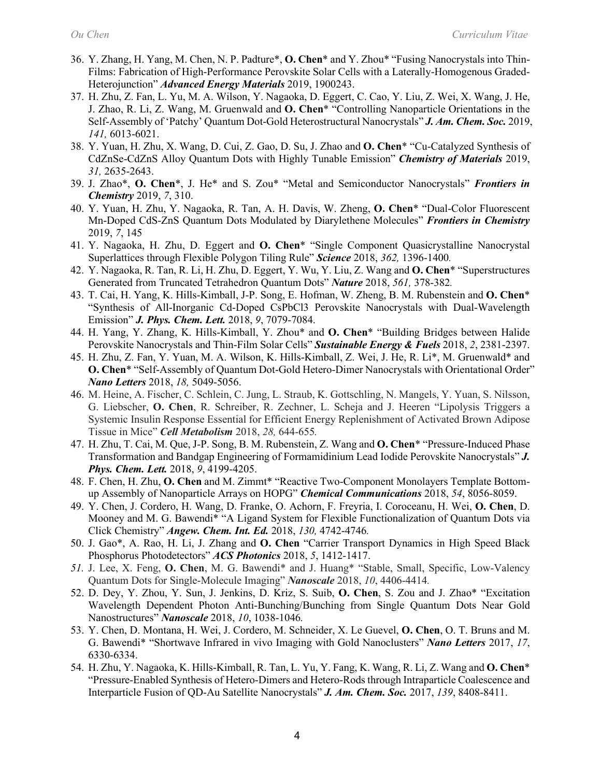- 36. Y. Zhang, H. Yang, M. Chen, N. P. Padture\*, **O. Chen**\* and Y. Zhou\* "Fusing Nanocrystals into Thin-Films: Fabrication of High-Performance Perovskite Solar Cells with a Laterally-Homogenous Graded-Heterojunction" *Advanced Energy Materials* 2019, 1900243.
- 37. H. Zhu, Z. Fan, L. Yu, M. A. Wilson, Y. Nagaoka, D. Eggert, C. Cao, Y. Liu, Z. Wei, X. Wang, J. He, J. Zhao, R. Li, Z. Wang, M. Gruenwald and **O. Chen**\* "Controlling Nanoparticle Orientations in the Self-Assembly of 'Patchy' Quantum Dot-Gold Heterostructural Nanocrystals" *J. Am. Chem. Soc.* 2019, *141,* 6013-6021.
- 38. Y. Yuan, H. Zhu, X. Wang, D. Cui, Z. Gao, D. Su, J. Zhao and **O. Chen**\* "Cu-Catalyzed Synthesis of CdZnSe-CdZnS Alloy Quantum Dots with Highly Tunable Emission" *Chemistry of Materials* 2019, *31,* 2635-2643.
- 39. J. Zhao\*, **O. Chen**\*, J. He\* and S. Zou\* "Metal and Semiconductor Nanocrystals" *Frontiers in Chemistry* 2019, *7*, 310.
- 40. Y. Yuan, H. Zhu, Y. Nagaoka, R. Tan, A. H. Davis, W. Zheng, **O. Chen**\* "Dual-Color Fluorescent Mn-Doped CdS-ZnS Quantum Dots Modulated by Diarylethene Molecules" *Frontiers in Chemistry* 2019, *7*, 145
- 41. Y. Nagaoka, H. Zhu, D. Eggert and **O. Chen**\* "Single Component Quasicrystalline Nanocrystal Superlattices through Flexible Polygon Tiling Rule" *Science* 2018, *362,* 1396-1400*.*
- 42. Y. Nagaoka, R. Tan, R. Li, H. Zhu, D. Eggert, Y. Wu, Y. Liu, Z. Wang and **O. Chen**\* "Superstructures Generated from Truncated Tetrahedron Quantum Dots" *Nature* 2018, *561,* 378-382*.*
- 43. T. Cai, H. Yang, K. Hills-Kimball, J-P. Song, E. Hofman, W. Zheng, B. M. Rubenstein and **O. Chen**\* "Synthesis of All-Inorganic Cd-Doped CsPbCl3 Perovskite Nanocrystals with Dual-Wavelength Emission" *J. Phys. Chem. Lett.* 2018, *9*, 7079-7084.
- 44. H. Yang, Y. Zhang, K. Hills-Kimball, Y. Zhou\* and **O. Chen**\* "Building Bridges between Halide Perovskite Nanocrystals and Thin-Film Solar Cells" *Sustainable Energy & Fuels* 2018, *2*, 2381-2397.
- 45. H. Zhu, Z. Fan, Y. Yuan, M. A. Wilson, K. Hills-Kimball, Z. Wei, J. He, R. Li\*, M. Gruenwald\* and **O. Chen**\* "Self-Assembly of Quantum Dot-Gold Hetero-Dimer Nanocrystals with Orientational Order" *Nano Letters* 2018, *18,* 5049-5056.
- 46. M. Heine, A. Fischer, C. Schlein, C. Jung, L. Straub, K. Gottschling, N. Mangels, Y. Yuan, S. Nilsson, G. Liebscher, **O. Chen**, R. Schreiber, R. Zechner, L. Scheja and J. Heeren "Lipolysis Triggers a Systemic Insulin Response Essential for Efficient Energy Replenishment of Activated Brown Adipose Tissue in Mice" *Cell Metabolism* 2018, *28,* 644-655*.*
- 47. H. Zhu, T. Cai, M. Que, J-P. Song, B. M. Rubenstein, Z. Wang and **O. Chen**\* "Pressure-Induced Phase Transformation and Bandgap Engineering of Formamidinium Lead Iodide Perovskite Nanocrystals" *J. Phys. Chem. Lett.* 2018, *9*, 4199-4205.
- 48. F. Chen, H. Zhu, **O. Chen** and M. Zimmt\* ["Reactive](http://pubs.acs.org/doi/abs/10.1021/acs.chemmater.5b02821) Two-Component Monolayers Template Bottomup Assembly of Nanoparticle Arrays on HOPG" *Chemical Communications* 2018, *54*, 8056-8059.
- 49. Y. Chen, J. Cordero, H. Wang, D. Franke, O. Achorn, F. Freyria, I. Coroceanu, H. Wei, **O. Chen**, D. Mooney and M. G. Bawendi\* "A Ligand System for Flexible Functionalization of Quantum Dots via Click Chemistry" *Angew. Chem. Int. Ed.* 2018, *130,* 4742-4746*.*
- 50. J. Gao\*, A. Rao, H. Li, J. Zhang and **O. Chen** "Carrier Transport Dynamics in High Speed Black Phosphorus Photodetectors" *ACS Photonics* 2018, *5*, 1412-1417.
- *51.* J. Lee, X. Feng, **O. Chen**, M. G. Bawendi\* and J. Huang\* "Stable, Small, Specific, Low-Valency Quantum Dots for Single-Molecule Imaging" *Nanoscale* 2018, *10*, 4406-4414*.*
- 52. D. Dey, Y. Zhou, Y. Sun, J. Jenkins, D. Kriz, S. Suib, **O. Chen**, S. Zou and J. Zhao\* "Excitation Wavelength Dependent Photon Anti-Bunching/Bunching from Single Quantum Dots Near Gold Nanostructures" *Nanoscale* 2018, *10*, 1038-1046*.*
- 53. Y. Chen, D. Montana, H. Wei, J. Cordero, M. Schneider, X. Le Guevel, **O. Chen**, O. T. Bruns and M. G. Bawendi\* "Shortwave Infrared in vivo Imaging with Gold Nanoclusters" *Nano Letters* 2017, *17*, 6330-6334.
- 54. H. Zhu, Y. Nagaoka, K. Hills-Kimball, R. Tan, L. Yu, Y. Fang, K. Wang, R. Li, Z. Wang and **O. Chen**\* "Pressure-Enabled Synthesis of Hetero-Dimers and Hetero-Rods through Intraparticle Coalescence and Interparticle Fusion of QD-Au Satellite Nanocrystals" *J. Am. Chem. Soc.* 2017, *139*, 8408-8411.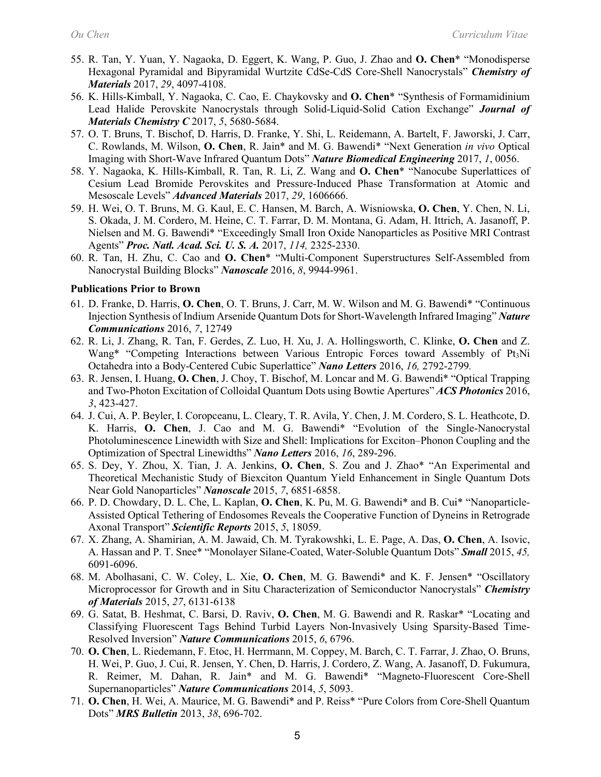- 55. R. Tan, Y. Yuan, Y. Nagaoka, D. Eggert, K. Wang, P. Guo, J. Zhao and **O. Chen**\* "Monodisperse Hexagonal Pyramidal and Bipyramidal Wurtzite CdSe-CdS Core-Shell Nanocrystals" *Chemistry of Materials* 2017, *29*, 4097-4108.
- 56. K. Hills-Kimball, Y. Nagaoka, C. Cao, E. Chaykovsky and **O. Chen**\* "Synthesis of Formamidinium Lead Halide Perovskite Nanocrystals through Solid-Liquid-Solid Cation Exchange" *Journal of Materials Chemistry C* 2017, *5*, 5680-5684.
- 57. O. T. Bruns, T. Bischof, D. Harris, D. Franke, Y. Shi, L. Reidemann, A. Bartelt, F. Jaworski, J. Carr, C. Rowlands, M. Wilson, **O. Chen**, R. Jain\* and M. G. Bawendi\* "Next Generation *in vivo* Optical Imaging with Short-Wave Infrared Quantum Dots" *Nature Biomedical Engineering* 2017, *1*, 0056.
- 58. Y. Nagaoka, K. Hills-Kimball, R. Tan, R. Li, Z. Wang and **O. Chen**\* "Nanocube Superlattices of Cesium Lead Bromide Perovskites and Pressure-Induced Phase Transformation at Atomic and Mesoscale Levels" *Advanced Materials* 2017, *29*, 1606666.
- 59. H. Wei, O. T. Bruns, M. G. Kaul, E. C. Hansen, M. Barch, A. Wisniowska, **O. Chen**, Y. Chen, N. Li, S. Okada, J. M. Cordero, M. Heine, C. T. Farrar, D. M. Montana, G. Adam, H. Ittrich, A. Jasanoff, P. Nielsen and M. G. Bawendi\* ["Exceedingly Small Iron Oxide Nanoparticles as Positive MRI Contrast](http://www.pnas.org/content/early/2017/02/09/1620145114)  [Agents"](http://www.pnas.org/content/early/2017/02/09/1620145114) *Proc. Natl. Acad. Sci. U. S. A.* 2017, *114,* 2325-2330.
- 60. R. Tan, H. Zhu, C. Cao and **O. Chen**\* "Multi-Component Superstructures Self-Assembled from Nanocrystal Building Blocks" *Nanoscale* 2016, *8*, 9944-9961.

#### **Publications Prior to Brown**

- 61. D. Franke, D. Harris, **O. Chen**, O. T. Bruns, J. Carr, M. W. Wilson and M. G. Bawendi\* "Continuous Injection Synthesis of Indium Arsenide Quantum Dots for Short-Wavelength Infrared Imaging" *Nature Communications* 2016, *7*, 12749
- 62. R. Li, J. Zhang, R. Tan, F. Gerdes, Z. Luo, H. Xu, J. A. Hollingsworth, C. Klinke, **O. Chen** and Z. Wang\* "Competing Interactions between Various Entropic Forces toward Assembly of Pt<sub>3</sub>Ni [Octahedra into a Body-Centered Cubic Superlattice"](http://pubs.acs.org/doi/full/10.1021/acs.nanolett.6b00564) *Nano Letters* 2016, *16,* 2792-2799*.*
- 63. R. Jensen, I. Huang, **O. Chen**, J. Choy, T. Bischof, M. Loncar and M. G. Bawendi\* "Optical Trapping and Two-Photon Excitation of Colloidal Quantum Dots using Bowtie Apertures" *ACS Photonics* 2016, *3*, 423-427.
- 64. J. Cui, A. P. Beyler, I. Coropceanu, L. Cleary, T. R. Avila, Y. Chen, J. M. Cordero, S. L. Heathcote, D. K. Harris, **O. Chen**, J. Cao and M. G. Bawendi\* ["Evolution of the Single-Nanocrystal](http://pubs.acs.org/doi/10.1021/acs.nanolett.5b03790)  [Photoluminescence Linewidth with Size and Shell: Implications for Exciton–Phonon Coupling and the](http://pubs.acs.org/doi/10.1021/acs.nanolett.5b03790)  [Optimization of Spectral Linewidths"](http://pubs.acs.org/doi/10.1021/acs.nanolett.5b03790) *Nano Letters* 2016, *16*, 289-296.
- 65. S. Dey, Y. Zhou, X. Tian, J. A. Jenkins, **O. Chen**, S. Zou and J. Zhao\* ["An Experimental and](http://pubs.rsc.org/en/content/articlelanding/2015/nr/c5nr00274e#%21divAbstract)  [Theoretical Mechanistic Study of Biexciton Quantum Yield Enhancement in Single Quantum Dots](http://pubs.rsc.org/en/content/articlelanding/2015/nr/c5nr00274e#%21divAbstract)  [Near Gold Nanoparticles"](http://pubs.rsc.org/en/content/articlelanding/2015/nr/c5nr00274e#%21divAbstract) *Nanoscale* 2015, *7*, 6851-6858.
- 66. P. D. Chowdary, D. L. Che, L. Kaplan, **O. Chen**, K. Pu, M. G. Bawendi\* and B. Cui\* ["Nanoparticle-](http://dx.doi.org/10.1038/srep18059)[Assisted Optical Tethering of Endosomes Reveals the Cooperative Function of Dyneins in Retrograde](http://dx.doi.org/10.1038/srep18059)  [Axonal Transport"](http://dx.doi.org/10.1038/srep18059) *Scientific Reports* 2015, *5*, 18059.
- 67. X. Zhang, A. Shamirian, A. M. Jawaid, Ch. M. Tyrakowshki, L. E. Page, A. Das, **O. Chen**, A. Isovic, A. Hassan and P. T. Snee\* ["Monolayer Silane-Coated, Water-Soluble Quantum Dots"](http://onlinelibrary.wiley.com/doi/10.1002/smll.201501886/full) *Small* 2015, *45,*  6091-6096.
- 68. M. Abolhasani, C. W. Coley, L. Xie, **O. Chen**, M. G. Bawendi\* and K. F. Jensen\* ["Oscillatory](http://pubs.acs.org/doi/abs/10.1021/acs.chemmater.5b02821)  [Microprocessor for Growth and in Situ Characterization of Semiconductor Nanocrystals"](http://pubs.acs.org/doi/abs/10.1021/acs.chemmater.5b02821) *Chemistry of Materials* 2015, *27*, 6131-6138
- 69. G. Satat, B. Heshmat, C. Barsi, D. Raviv, **O. Chen**, M. G. Bawendi and R. Raskar\* "Locating and Classifying Fluorescent Tags Behind Turbid Layers Non-Invasively Using Sparsity-Based Time-Resolved Inversion" *Nature Communications* 2015, *6*, 6796.
- 70. **O. Chen**, L. Riedemann, F. Etoc, H. Herrmann, M. Coppey, M. Barch, C. T. Farrar, J. Zhao, O. Bruns, H. Wei, P. Guo, J. Cui, R. Jensen, Y. Chen, D. Harris, J. Cordero, Z. Wang, A. Jasanoff, D. Fukumura, R. Reimer, M. Dahan, R. Jain\* and M. G. Bawendi\* "Magneto-Fluorescent Core-Shell Supernanoparticles" *Nature Communications* 2014, *5*, 5093.
- 71. **O. Chen**, H. Wei, A. Maurice, M. G. Bawendi\* and P. Reiss\* "Pure Colors from Core-Shell Quantum Dots" *MRS Bulletin* 2013, *38*, 696-702.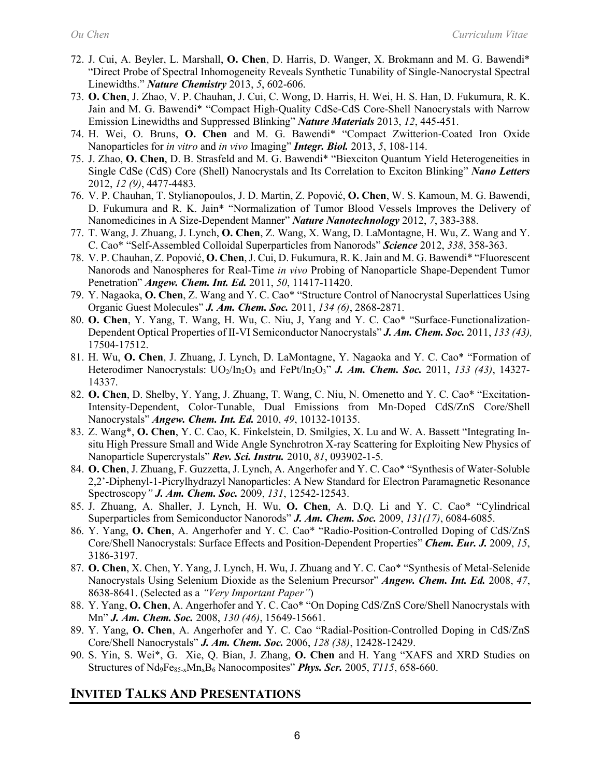- 72. J. Cui, A. Beyler, L. Marshall, **O. Chen**, D. Harris, D. Wanger, X. Brokmann and M. G. Bawendi\* "Direct Probe of Spectral Inhomogeneity Reveals Synthetic Tunability of Single-Nanocrystal Spectral Linewidths." *Nature Chemistry* 2013, *5*, 602-606.
- 73. **O. Chen**, J. Zhao, V. P. Chauhan, J. Cui, C. Wong, D. Harris, H. Wei, H. S. Han, D. Fukumura, R. K. Jain and M. G. Bawendi\* "Compact High-Quality CdSe-CdS Core-Shell Nanocrystals with Narrow Emission Linewidths and Suppressed Blinking" *Nature Materials* 2013, *12*, 445-451.
- 74. H. Wei, O. Bruns, **O. Chen** and M. G. Bawendi\* "Compact Zwitterion-Coated Iron Oxide Nanoparticles for *in vitro* and *in vivo* Imaging" *Integr. Biol.* 2013, *5*, 108-114.
- 75. J. Zhao, **O. Chen**, D. B. Strasfeld and M. G. Bawendi\* "Biexciton Quantum Yield Heterogeneities in Single CdSe (CdS) Core (Shell) Nanocrystals and Its Correlation to Exciton Blinking" *Nano Letters* 2012, *12 (9)*, 4477-4483*.*
- 76. V. P. Chauhan, T. Stylianopoulos, J. D. Martin, Z. Popović, **O. Chen**, W. S. Kamoun, M. G. Bawendi, D. Fukumura and R. K. Jain\* "Normalization of Tumor Blood Vessels Improves the Delivery of Nanomedicines in A Size-Dependent Manner" *Nature Nanotechnology* 2012, *7*, 383-388.
- 77. T. Wang, J. Zhuang, J. Lynch, **O. Chen**, Z. Wang, X. Wang, D. LaMontagne, H. Wu, Z. Wang and Y. C. Cao\* "Self-Assembled Colloidal Superparticles from Nanorods" *Science* 2012, *338*, 358-363.
- 78. V. P. Chauhan, Z. Popović, **O. Chen**, J. Cui, D. Fukumura, R. K. Jain and M. G. Bawendi\* ["Fluorescent](http://dx.doi.org/10.1002/anie.201104449)  [Nanorods and Nanospheres for Real-Time](http://dx.doi.org/10.1002/anie.201104449) *[in vivo](http://dx.doi.org/10.1002/anie.201104449)* [Probing of Nanoparticle Shape-Dependent Tumor](http://dx.doi.org/10.1002/anie.201104449)  [Penetration"](http://dx.doi.org/10.1002/anie.201104449) *Angew. Chem. Int. Ed.* 2011, *50*, 11417-11420.
- 79. Y. Nagaoka, **O. Chen**, Z. Wang and Y. C. Cao\* "Structure Control of Nanocrystal Superlattices Using Organic Guest Molecules" *J. Am. Chem. Soc.* 2011, *134 (6)*, 2868-2871.
- 80. **O. Chen**, Y. Yang, T. Wang, H. Wu, C. Niu, J, Yang and Y. C. Cao\* "Surface-Functionalization-Dependent Optical Properties of II-VI Semiconductor Nanocrystals" *J. Am. Chem. Soc.* 2011, *133 (43),* 17504-17512.
- 81. H. Wu, **O. Chen**, J. Zhuang, J. Lynch, D. LaMontagne, Y. Nagaoka and Y. C. Cao\* "Formation of Heterodimer Nanocrystals:  $UO_2/In_2O_3$  and FePt/In<sub>2</sub>O<sub>3</sub>" *J. Am. Chem. Soc.* 2011, 133 (43), 14327-14337.
- 82. **O. Chen**, D. Shelby, Y. Yang, J. Zhuang, T. Wang, C. Niu, N. Omenetto and Y. C. Cao\* "Excitation-Intensity-Dependent, Color-Tunable, Dual Emissions from Mn-Doped CdS/ZnS Core/Shell Nanocrystals" *Angew. Chem. Int. Ed.* 2010, *49*, 10132-10135.
- 83. Z. Wang\*, **O. Chen**, Y. C. Cao, K. Finkelstein, D. Smilgies, X. Lu and W. A. Bassett "Integrating Insitu High Pressure Small and Wide Angle Synchrotron X-ray Scattering for Exploiting New Physics of Nanoparticle Supercrystals" *Rev. Sci. Instru.* 2010, *81*, 093902-1-5.
- 84. **O. Chen**, J. Zhuang, F. Guzzetta, J. Lynch, A. Angerhofer and Y. C. Cao\* "Synthesis of Water-Soluble 2,2'-Diphenyl-1-Picrylhydrazyl Nanoparticles: A New Standard for Electron Paramagnetic Resonance Spectroscopy*" J. Am. Chem. Soc.* 2009, *131*, 12542-12543.
- 85. J. Zhuang, A. Shaller, J. Lynch, H. Wu, **O. Chen**, A. D.Q. Li and Y. C. Cao\* "Cylindrical Superparticles from Semiconductor Nanorods" *J. Am. Chem. Soc.* 2009, *131(17)*, 6084-6085.
- 86. Y. Yang, **O. Chen**, A. Angerhofer and Y. C. Cao\* "Radio-Position-Controlled Doping of CdS/ZnS Core/Shell Nanocrystals: Surface Effects and Position-Dependent Properties" *Chem. Eur. J.* 2009, *15*, 3186-3197.
- 87. **O. Chen**, X. Chen, Y. Yang, J. Lynch, H. Wu, J. Zhuang and Y. C. Cao\* "Synthesis of Metal-Selenide Nanocrystals Using Selenium Dioxide as the Selenium Precursor" *Angew. Chem. Int. Ed.* 2008, *47*, 8638-8641. (Selected as a *"Very Important Paper"*)
- 88. Y. Yang, **O. Chen**, A. Angerhofer and Y. C. Cao\* "On Doping CdS/ZnS Core/Shell Nanocrystals with Mn" *J. Am. Chem. Soc.* 2008, *130 (46)*, 15649-15661.
- 89. Y. Yang, **O. Chen**, A. Angerhofer and Y. C. Cao "Radial-Position-Controlled Doping in CdS/ZnS Core/Shell Nanocrystals" *J. Am. Chem. Soc.* 2006, *128 (38)*, 12428-12429.
- 90. S. Yin, S. Wei\*, G. Xie, Q. Bian, J. Zhang, **O. Chen** and H. Yang "XAFS and XRD Studies on Structures of Nd9Fe85-xMnxB6 Nanocomposites" *Phys. Scr.* 2005, *T115*, 658-660.

## **INVITED TALKS AND PRESENTATIONS**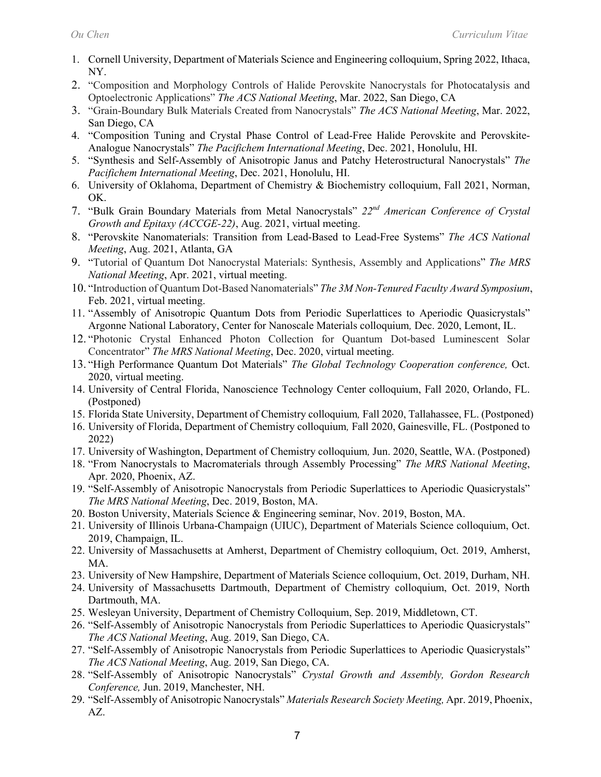- 1. Cornell University, Department of Materials Science and Engineering colloquium, Spring 2022, Ithaca, NY.
- 2. "Composition and Morphology Controls of Halide Perovskite Nanocrystals for Photocatalysis and Optoelectronic Applications" *The ACS National Meeting*, Mar. 2022, San Diego, CA
- 3. "Grain-Boundary Bulk Materials Created from Nanocrystals" *The ACS National Meeting*, Mar. 2022, San Diego, CA
- 4. "Composition Tuning and Crystal Phase Control of Lead-Free Halide Perovskite and Perovskite-Analogue Nanocrystals" *The Pacifichem International Meeting*, Dec. 2021, Honolulu, HI.
- 5. "Synthesis and Self-Assembly of Anisotropic Janus and Patchy Heterostructural Nanocrystals" *The Pacifichem International Meeting*, Dec. 2021, Honolulu, HI.
- 6. University of Oklahoma, Department of Chemistry & Biochemistry colloquium, Fall 2021, Norman, OK.
- 7. "Bulk Grain Boundary Materials from Metal Nanocrystals" *22nd American Conference of Crystal Growth and Epitaxy (ACCGE-22)*, Aug. 2021, virtual meeting.
- 8. "Perovskite Nanomaterials: Transition from Lead-Based to Lead-Free Systems" *The ACS National Meeting*, Aug. 2021, Atlanta, GA
- 9. "Tutorial of Quantum Dot Nanocrystal Materials: Synthesis, Assembly and Applications" *The MRS National Meeting*, Apr. 2021, virtual meeting.
- 10. "Introduction of Quantum Dot-Based Nanomaterials" *The 3M Non-Tenured Faculty Award Symposium*, Feb. 2021, virtual meeting.
- 11. "Assembly of Anisotropic Quantum Dots from Periodic Superlattices to Aperiodic Quasicrystals" Argonne National Laboratory, Center for Nanoscale Materials colloquium*,* Dec. 2020, Lemont, IL.
- 12. "Photonic Crystal Enhanced Photon Collection for Quantum Dot-based Luminescent Solar Concentrator" *The MRS National Meeting*, Dec. 2020, virtual meeting.
- 13. "High Performance Quantum Dot Materials" *The Global Technology Cooperation conference,* Oct. 2020, virtual meeting.
- 14. University of Central Florida, Nanoscience Technology Center colloquium, Fall 2020, Orlando, FL. (Postponed)
- 15. Florida State University, Department of Chemistry colloquium*,* Fall 2020, Tallahassee, FL. (Postponed)
- 16. University of Florida, Department of Chemistry colloquium*,* Fall 2020, Gainesville, FL. (Postponed to 2022)
- 17. University of Washington, Department of Chemistry colloquium*,* Jun. 2020, Seattle, WA. (Postponed)
- 18. "From Nanocrystals to Macromaterials through Assembly Processing" *The MRS National Meeting*, Apr. 2020, Phoenix, AZ.
- 19. "Self-Assembly of Anisotropic Nanocrystals from Periodic Superlattices to Aperiodic Quasicrystals" *The MRS National Meeting*, Dec. 2019, Boston, MA.
- 20. Boston University, Materials Science & Engineering seminar, Nov. 2019, Boston, MA.
- 21. University of Illinois Urbana-Champaign (UIUC), Department of Materials Science colloquium, Oct. 2019, Champaign, IL.
- 22. University of Massachusetts at Amherst, Department of Chemistry colloquium, Oct. 2019, Amherst, MA.
- 23. University of New Hampshire, Department of Materials Science colloquium, Oct. 2019, Durham, NH.
- 24. University of Massachusetts Dartmouth, Department of Chemistry colloquium, Oct. 2019, North Dartmouth, MA.
- 25. Wesleyan University, Department of Chemistry Colloquium, Sep. 2019, Middletown, CT.
- 26. "Self-Assembly of Anisotropic Nanocrystals from Periodic Superlattices to Aperiodic Quasicrystals" *The ACS National Meeting*, Aug. 2019, San Diego, CA.
- 27. "Self-Assembly of Anisotropic Nanocrystals from Periodic Superlattices to Aperiodic Quasicrystals" *The ACS National Meeting*, Aug. 2019, San Diego, CA.
- 28. "Self-Assembly of Anisotropic Nanocrystals" *Crystal Growth and Assembly, Gordon Research Conference,* Jun. 2019, Manchester, NH.
- 29. "Self-Assembly of Anisotropic Nanocrystals" *Materials Research Society Meeting,* Apr. 2019, Phoenix, AZ.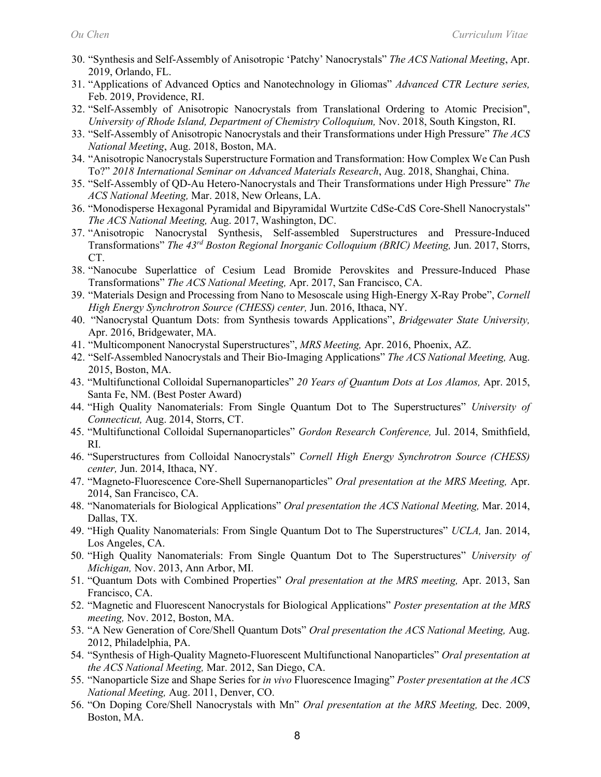- 30. "Synthesis and Self-Assembly of Anisotropic 'Patchy' Nanocrystals" *The ACS National Meeting*, Apr. 2019, Orlando, FL.
- 31. "Applications of Advanced Optics and Nanotechnology in Gliomas" *Advanced CTR Lecture series,* Feb. 2019, Providence, RI.
- 32. "Self-Assembly of Anisotropic Nanocrystals from Translational Ordering to Atomic Precision", *University of Rhode Island, Department of Chemistry Colloquium,* Nov. 2018, South Kingston, RI.
- 33. "Self-Assembly of Anisotropic Nanocrystals and their Transformations under High Pressure" *The ACS National Meeting*, Aug. 2018, Boston, MA.
- 34. "Anisotropic Nanocrystals Superstructure Formation and Transformation: How Complex We Can Push To?" *2018 International Seminar on Advanced Materials Research*, Aug. 2018, Shanghai, China.
- 35. "Self-Assembly of QD-Au Hetero-Nanocrystals and Their Transformations under High Pressure" *The ACS National Meeting,* Mar. 2018, New Orleans, LA.
- 36. "Monodisperse Hexagonal Pyramidal and Bipyramidal Wurtzite CdSe-CdS Core-Shell Nanocrystals" *The ACS National Meeting,* Aug. 2017, Washington, DC.
- 37. "Anisotropic Nanocrystal Synthesis, Self-assembled Superstructures and Pressure-Induced Transformations" *The 43rd Boston Regional Inorganic Colloquium (BRIC) Meeting,* Jun. 2017, Storrs, CT.
- 38. "Nanocube Superlattice of Cesium Lead Bromide Perovskites and Pressure-Induced Phase Transformations" *The ACS National Meeting,* Apr. 2017, San Francisco, CA.
- 39. "Materials Design and Processing from Nano to Mesoscale using High-Energy X-Ray Probe", *Cornell High Energy Synchrotron Source (CHESS) center,* Jun. 2016, Ithaca, NY.
- 40. "Nanocrystal Quantum Dots: from Synthesis towards Applications", *Bridgewater State University,*  Apr. 2016, Bridgewater, MA.
- 41. "Multicomponent Nanocrystal Superstructures", *MRS Meeting,* Apr. 2016, Phoenix, AZ.
- 42. "Self-Assembled Nanocrystals and Their Bio-Imaging Applications" *The ACS National Meeting,* Aug. 2015, Boston, MA.
- 43. "Multifunctional Colloidal Supernanoparticles" *20 Years of Quantum Dots at Los Alamos,* Apr. 2015, Santa Fe, NM. (Best Poster Award)
- 44. "High Quality Nanomaterials: From Single Quantum Dot to The Superstructures" *University of Connecticut,* Aug. 2014, Storrs, CT.
- 45. "Multifunctional Colloidal Supernanoparticles" *Gordon Research Conference,* Jul. 2014, Smithfield, RI.
- 46. "Superstructures from Colloidal Nanocrystals" *Cornell High Energy Synchrotron Source (CHESS) center,* Jun. 2014, Ithaca, NY.
- 47. "Magneto-Fluorescence Core-Shell Supernanoparticles" *Oral presentation at the MRS Meeting,* Apr. 2014, San Francisco, CA.
- 48. "Nanomaterials for Biological Applications" *Oral presentation the ACS National Meeting,* Mar. 2014, Dallas, TX.
- 49. "High Quality Nanomaterials: From Single Quantum Dot to The Superstructures" *UCLA,* Jan. 2014, Los Angeles, CA.
- 50. "High Quality Nanomaterials: From Single Quantum Dot to The Superstructures" *University of Michigan,* Nov. 2013, Ann Arbor, MI.
- 51. "Quantum Dots with Combined Properties" *Oral presentation at the MRS meeting,* Apr. 2013, San Francisco, CA.
- 52. "Magnetic and Fluorescent Nanocrystals for Biological Applications" *Poster presentation at the MRS meeting,* Nov. 2012, Boston, MA.
- 53. "A New Generation of Core/Shell Quantum Dots" *Oral presentation the ACS National Meeting,* Aug. 2012, Philadelphia, PA.
- 54. "Synthesis of High-Quality Magneto-Fluorescent Multifunctional Nanoparticles" *Oral presentation at the ACS National Meeting,* Mar. 2012, San Diego, CA.
- 55. "Nanoparticle Size and Shape Series for *in vivo* Fluorescence Imaging" *Poster presentation at the ACS National Meeting,* Aug. 2011, Denver, CO.
- 56. "On Doping Core/Shell Nanocrystals with Mn" *Oral presentation at the MRS Meeting,* Dec. 2009, Boston, MA.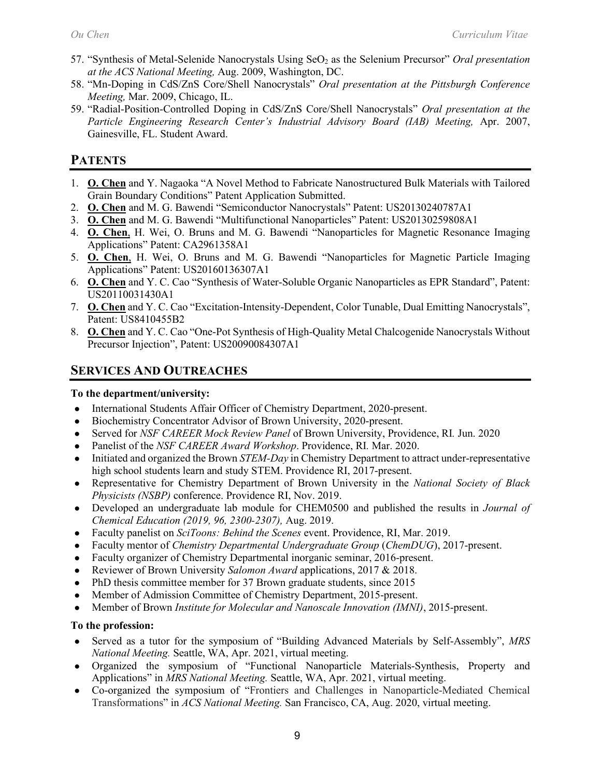- 57. "Synthesis of Metal-Selenide Nanocrystals Using SeO2 as the Selenium Precursor" *Oral presentation at the ACS National Meeting,* Aug. 2009, Washington, DC.
- 58. "Mn-Doping in CdS/ZnS Core/Shell Nanocrystals" *Oral presentation at the Pittsburgh Conference Meeting,* Mar. 2009, Chicago, IL.
- 59. "Radial-Position-Controlled Doping in CdS/ZnS Core/Shell Nanocrystals" *Oral presentation at the*  Particle Engineering Research Center's Industrial Advisory Board (IAB) Meeting, Apr. 2007, Gainesville, FL. Student Award.

## **PATENTS**

- 1. **O. Chen** and Y. Nagaoka "A Novel Method to Fabricate Nanostructured Bulk Materials with Tailored Grain Boundary Conditions" Patent Application Submitted.
- 2. **O. Chen** and M. G. Bawendi "Semiconductor Nanocrystals" Patent: US20130240787A1
- 3. **O. Chen** and M. G. Bawendi "Multifunctional Nanoparticles" Patent: US20130259808A1
- 4. **O. Chen**, H. Wei, O. Bruns and M. G. Bawendi "Nanoparticles for Magnetic Resonance Imaging Applications" Patent: CA2961358A1
- 5. **O. Chen**, H. Wei, O. Bruns and M. G. Bawendi "Nanoparticles for Magnetic Particle Imaging Applications" Patent: US20160136307A1
- 6. **O. Chen** and Y. C. Cao "Synthesis of Water-Soluble Organic Nanoparticles as EPR Standard", Patent: US20110031430A1
- 7. **O. Chen** and Y. C. Cao "Excitation-Intensity-Dependent, Color Tunable, Dual Emitting Nanocrystals", Patent: US8410455B2
- 8. **O. Chen** and Y. C. Cao "One-Pot Synthesis of High-Quality Metal Chalcogenide Nanocrystals Without Precursor Injection", Patent: US20090084307A1

## **SERVICES AND OUTREACHES**

#### **To the department/university:**

- International Students Affair Officer of Chemistry Department, 2020-present.
- Biochemistry Concentrator Advisor of Brown University, 2020-present.
- Served for *NSF CAREER Mock Review Panel* of Brown University, Providence, RI*.* Jun. 2020
- Panelist of the *NSF CAREER Award Workshop*. Providence, RI*.* Mar. 2020.
- Initiated and organized the Brown *STEM-Day* in Chemistry Department to attract under-representative high school students learn and study STEM. Providence RI, 2017-present.
- Representative for Chemistry Department of Brown University in the *National Society of Black Physicists (NSBP)* conference. Providence RI, Nov. 2019.
- Developed an undergraduate lab module for CHEM0500 and published the results in *Journal of Chemical Education (2019, 96, 2300-2307),* Aug. 2019.
- Faculty panelist on *SciToons: Behind the Scenes* event. Providence, RI, Mar. 2019.
- Faculty mentor of *Chemistry Departmental Undergraduate Group* (*ChemDUG*), 2017-present.
- Faculty organizer of Chemistry Departmental inorganic seminar, 2016-present.
- Reviewer of Brown University *Salomon Award* applications, 2017 & 2018.
- PhD thesis committee member for 37 Brown graduate students, since 2015
- Member of Admission Committee of Chemistry Department, 2015-present.
- Member of Brown *Institute for Molecular and Nanoscale Innovation (IMNI)*, 2015-present.

## **To the profession:**

- Served as a tutor for the symposium of "Building Advanced Materials by Self-Assembly", *MRS National Meeting.* Seattle, WA, Apr. 2021, virtual meeting.
- Organized the symposium of "Functional Nanoparticle Materials-Synthesis, Property and Applications" in *MRS National Meeting.* Seattle, WA, Apr. 2021, virtual meeting.
- Co-organized the symposium of "Frontiers and Challenges in Nanoparticle-Mediated Chemical Transformations" in *ACS National Meeting.* San Francisco, CA, Aug. 2020, virtual meeting.